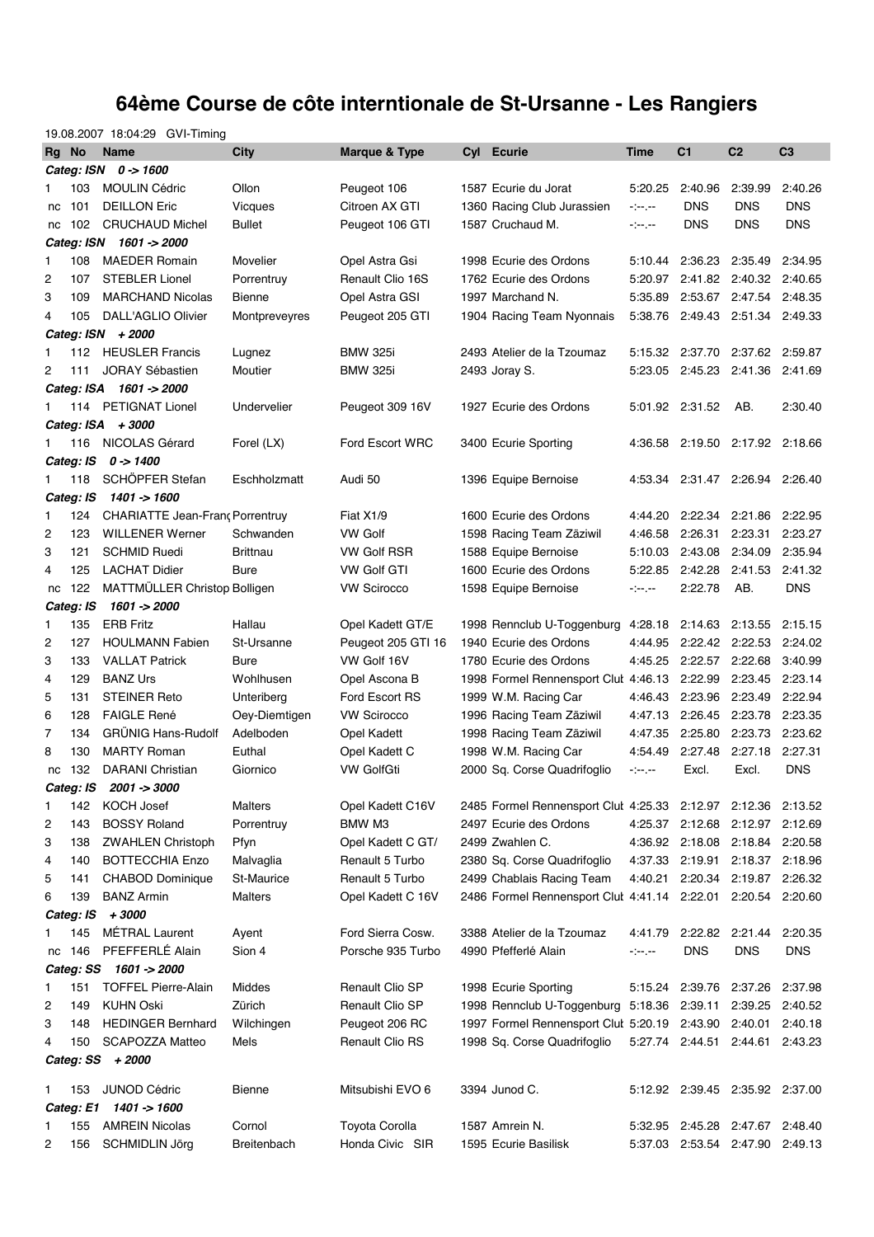## **64ème Course de côte interntionale de St-Ursanne - Les Rangiers**

|       |                  | 19.08.2007 18:04:29 GVI-Timing         |                 |                    |                                                              |          |                         |                                 |                |
|-------|------------------|----------------------------------------|-----------------|--------------------|--------------------------------------------------------------|----------|-------------------------|---------------------------------|----------------|
| Rg No |                  | <b>Name</b>                            | City            | Marque & Type      | Cyl Ecurie                                                   | Time     | C <sub>1</sub>          | C <sub>2</sub>                  | C <sub>3</sub> |
|       |                  | Categ: ISN 0 -> 1600                   |                 |                    |                                                              |          |                         |                                 |                |
| 1     | 103              | <b>MOULIN Cédric</b>                   | Ollon           | Peugeot 106        | 1587 Ecurie du Jorat                                         | 5:20.25  | 2:40.96                 | 2:39.99                         | 2:40.26        |
| nc    | 101              | <b>DEILLON Eric</b>                    | <b>Vicques</b>  | Citroen AX GTI     | 1360 Racing Club Jurassien                                   | a banyak | <b>DNS</b>              | <b>DNS</b>                      | <b>DNS</b>     |
| nc    | 102              | <b>CRUCHAUD Michel</b>                 | <b>Bullet</b>   | Peugeot 106 GTI    | 1587 Cruchaud M.                                             | a banyak | <b>DNS</b>              | <b>DNS</b>                      | DNS            |
|       |                  | Categ: ISN 1601 -> 2000                |                 |                    |                                                              |          |                         |                                 |                |
| 1     | 108              | <b>MAEDER Romain</b>                   | Movelier        | Opel Astra Gsi     | 1998 Ecurie des Ordons                                       | 5:10.44  | 2:36.23                 | 2:35.49                         | 2:34.95        |
| 2     | 107              | <b>STEBLER Lionel</b>                  | Porrentruy      | Renault Clio 16S   | 1762 Ecurie des Ordons                                       |          |                         | 5:20.97 2:41.82 2:40.32 2:40.65 |                |
| 3     | 109              | <b>MARCHAND Nicolas</b>                | <b>Bienne</b>   | Opel Astra GSI     | 1997 Marchand N.                                             | 5:35.89  |                         | 2:53.67 2:47.54 2:48.35         |                |
| 4     | 105              | DALL'AGLIO Olivier                     | Montpreveyres   | Peugeot 205 GTI    | 1904 Racing Team Nyonnais                                    |          |                         | 5:38.76 2:49.43 2:51.34 2:49.33 |                |
|       |                  | Categ: ISN + 2000                      |                 |                    |                                                              |          |                         |                                 |                |
| 1     | 112              | <b>HEUSLER Francis</b>                 | Lugnez          | <b>BMW 325i</b>    | 2493 Atelier de la Tzoumaz                                   |          | 5:15.32 2:37.70         | 2:37.62 2:59.87                 |                |
| 2     | 111              | <b>JORAY Sébastien</b>                 | Moutier         | <b>BMW 325i</b>    | 2493 Joray S.                                                |          |                         | 5:23.05 2:45.23 2:41.36 2:41.69 |                |
|       |                  | Categ: ISA 1601 -> 2000                |                 |                    |                                                              |          |                         |                                 |                |
|       |                  | 114 PETIGNAT Lionel                    | Undervelier     | Peugeot 309 16V    | 1927 Ecurie des Ordons                                       |          | 5:01.92 2:31.52         | AB.                             | 2:30.40        |
|       |                  | Categ: ISA + 3000                      |                 |                    |                                                              |          |                         |                                 |                |
| 1     | 116              | NICOLAS Gérard                         | Forel (LX)      | Ford Escort WRC    | 3400 Ecurie Sporting                                         |          |                         | 4:36.58 2:19.50 2:17.92 2:18.66 |                |
|       |                  | Categ: IS 0 -> 1400                    |                 |                    |                                                              |          |                         |                                 |                |
| 1     | 118              | SCHÖPFER Stefan                        | Eschholzmatt    | Audi 50            | 1396 Equipe Bernoise                                         |          |                         | 4:53.34 2:31.47 2:26.94 2:26.40 |                |
|       | Categ: IS        | 1401 -> 1600                           |                 |                    |                                                              |          |                         |                                 |                |
| 1     | 124              | <b>CHARIATTE Jean-Franc Porrentruy</b> |                 | Fiat X1/9          | 1600 Ecurie des Ordons                                       |          | 4:44.20 2:22.34 2:21.86 |                                 | 2:22.95        |
| 2     | 123              | <b>WILLENER Werner</b>                 | Schwanden       | <b>VW Golf</b>     | 1598 Racing Team Zäziwil                                     |          | 4:46.58 2:26.31         | 2:23.31                         | 2:23.27        |
| 3     | 121              | <b>SCHMID Ruedi</b>                    | <b>Brittnau</b> | <b>VW Golf RSR</b> | 1588 Equipe Bernoise                                         | 5:10.03  | 2:43.08 2:34.09         |                                 | 2:35.94        |
| 4     | 125              | <b>LACHAT Didier</b>                   | Bure            | <b>VW Golf GTI</b> | 1600 Ecurie des Ordons                                       |          | 5:22.85 2:42.28         | 2:41.53                         | 2:41.32        |
| nc    | 122              | MATTMÜLLER Christop Bolligen           |                 | <b>VW Scirocco</b> | 1598 Equipe Bernoise                                         | المعرضين | 2:22.78                 | AB.                             | <b>DNS</b>     |
|       | Categ: IS        | 1601 -> 2000                           |                 |                    |                                                              |          |                         |                                 |                |
| 1     | 135              | <b>ERB Fritz</b>                       | Hallau          | Opel Kadett GT/E   | 1998 Rennclub U-Toggenburg                                   | 4:28.18  | 2:14.63                 | 2:13.55                         | 2:15.15        |
| 2     | 127              | <b>HOULMANN Fabien</b>                 | St-Ursanne      | Peugeot 205 GTI 16 | 1940 Ecurie des Ordons                                       | 4:44.95  | 2:22.42 2:22.53         |                                 | 2:24.02        |
| 3     | 133              | <b>VALLAT Patrick</b>                  | <b>Bure</b>     | VW Golf 16V        | 1780 Ecurie des Ordons                                       |          | 4:45.25 2:22.57 2:22.68 |                                 | 3:40.99        |
| 4     | 129              | <b>BANZ Urs</b>                        | Wohlhusen       | Opel Ascona B      | 1998 Formel Rennensport Clut 4:46.13                         |          | 2:22.99                 | 2:23.45                         | 2:23.14        |
| 5     | 131              | <b>STEINER Reto</b>                    | Unteriberg      | Ford Escort RS     | 1999 W.M. Racing Car                                         |          | 4:46.43 2:23.96         | 2:23.49                         | 2:22.94        |
| 6     | 128              | <b>FAIGLE René</b>                     | Oey-Diemtigen   | <b>VW Scirocco</b> | 1996 Racing Team Zäziwil                                     | 4:47.13  | 2:26.45                 | 2:23.78                         | 2:23.35        |
| 7     | 134              | <b>GRÜNIG Hans-Rudolf</b>              | Adelboden       | Opel Kadett        | 1998 Racing Team Zäziwil                                     |          | 4:47.35 2:25.80         | 2:23.73 2:23.62                 |                |
| 8     | 130              | <b>MARTY Roman</b>                     | Euthal          | Opel Kadett C      | 1998 W.M. Racing Car                                         | 4:54.49  | 2:27.48                 | 2:27.18                         | 2:27.31        |
| nc    | 132              | <b>DARANI</b> Christian                | Giornico        | <b>VW GolfGti</b>  | 2000 Sq. Corse Quadrifoglio                                  | a banyak | Excl.                   | Excl.                           | <b>DNS</b>     |
|       |                  | Categ: IS 2001 -> 3000                 |                 |                    |                                                              |          |                         |                                 |                |
| 1     | 142              | <b>KOCH Josef</b>                      | <b>Malters</b>  | Opel Kadett C16V   | 2485 Formel Rennensport Clut 4:25.33 2:12.97 2:12.36 2:13.52 |          |                         |                                 |                |
| 2     | 143              | <b>BOSSY Roland</b>                    | Porrentruy      | BMW M3             | 2497 Ecurie des Ordons                                       |          | 4:25.37 2:12.68         | 2:12.97 2:12.69                 |                |
| 3     | 138              | <b>ZWAHLEN Christoph</b>               | Pfyn            | Opel Kadett C GT/  | 2499 Zwahlen C.                                              |          | 4:36.92 2:18.08         | 2:18.84 2:20.58                 |                |
| 4     | 140              | <b>BOTTECCHIA Enzo</b>                 | Malvaglia       | Renault 5 Turbo    | 2380 Sq. Corse Quadrifoglio                                  |          |                         | 4:37.33 2:19.91 2:18.37 2:18.96 |                |
| 5     | 141              | <b>CHABOD Dominique</b>                | St-Maurice      | Renault 5 Turbo    | 2499 Chablais Racing Team                                    |          |                         | 4:40.21 2:20.34 2:19.87 2:26.32 |                |
| 6     | 139              | <b>BANZ Armin</b>                      | Malters         | Opel Kadett C 16V  | 2486 Formel Rennensport Clut 4:41.14 2:22.01 2:20.54 2:20.60 |          |                         |                                 |                |
|       | Categ: IS        | +3000                                  |                 |                    |                                                              |          |                         |                                 |                |
|       | 145              | <b>MÉTRAL Laurent</b>                  | Ayent           | Ford Sierra Cosw.  | 3388 Atelier de la Tzoumaz                                   | 4:41.79  | 2:22.82 2:21.44         |                                 | 2:20.35        |
| nc    | 146              | PFEFFERLÉ Alain                        | Sion 4          | Porsche 935 Turbo  | 4990 Pfefferlé Alain                                         | ringer.  | <b>DNS</b>              | <b>DNS</b>                      | <b>DNS</b>     |
|       |                  | Categ: SS 1601 -> 2000                 |                 |                    |                                                              |          |                         |                                 |                |
| 1     | 151              | <b>TOFFEL Pierre-Alain</b>             | Middes          | Renault Clio SP    | 1998 Ecurie Sporting                                         |          | 5:15.24 2:39.76         | 2:37.26 2:37.98                 |                |
| 2     | 149              | <b>KUHN Oski</b>                       | Zürich          | Renault Clio SP    | 1998 Rennclub U-Toggenburg                                   |          |                         | 5:18.36 2:39.11 2:39.25 2:40.52 |                |
| 3     | 148              | <b>HEDINGER Bernhard</b>               | Wilchingen      | Peugeot 206 RC     | 1997 Formel Rennensport Clut 5:20.19 2:43.90 2:40.01         |          |                         |                                 | 2:40.18        |
| 4     | 150              | <b>SCAPOZZA Matteo</b>                 | Mels            | Renault Clio RS    | 1998 Sq. Corse Quadrifoglio                                  |          |                         | 5:27.74 2:44.51 2:44.61 2:43.23 |                |
|       |                  | Categ: SS + 2000                       |                 |                    |                                                              |          |                         |                                 |                |
| 1     | 153              | JUNOD Cédric                           | Bienne          | Mitsubishi EVO 6   | 3394 Junod C.                                                |          |                         | 5:12.92 2:39.45 2:35.92 2:37.00 |                |
|       |                  | 1401 -> 1600                           |                 |                    |                                                              |          |                         |                                 |                |
|       |                  |                                        |                 |                    |                                                              |          |                         |                                 |                |
| 1     | Categ: E1<br>155 | <b>AMREIN Nicolas</b>                  | Cornol          | Toyota Corolla     | 1587 Amrein N.                                               |          |                         | 5:32.95 2:45.28 2:47.67 2:48.40 |                |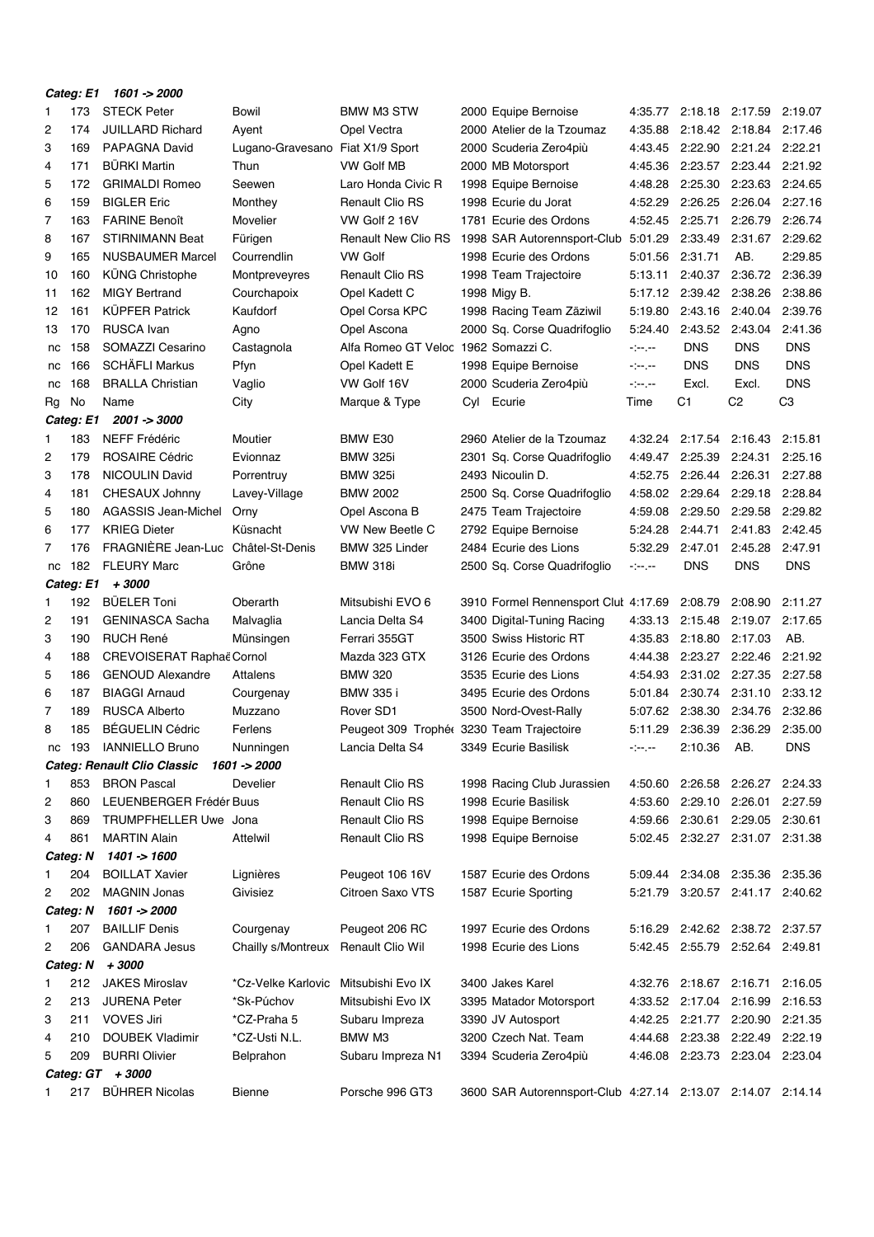|    | Categ: E1 | 1601 -> 2000                       |                                  |                                           |     |                                                             |            |                         |                                 |                |
|----|-----------|------------------------------------|----------------------------------|-------------------------------------------|-----|-------------------------------------------------------------|------------|-------------------------|---------------------------------|----------------|
| 1  | 173       | <b>STECK Peter</b>                 | Bowil                            | BMW M3 STW                                |     | 2000 Equipe Bernoise                                        |            | 4:35.77 2:18.18 2:17.59 |                                 | 2:19.07        |
| 2  | 174       | <b>JUILLARD Richard</b>            | Ayent                            | Opel Vectra                               |     | 2000 Atelier de la Tzoumaz                                  | 4:35.88    |                         | 2:18.42 2:18.84                 | 2:17.46        |
| 3  | 169       | PAPAGNA David                      | Lugano-Gravesano Fiat X1/9 Sport |                                           |     | 2000 Scuderia Zero4più                                      | 4:43.45    | 2:22.90                 | 2:21.24                         | 2:22.21        |
| 4  | 171       | <b>BÜRKI Martin</b>                | Thun                             | VW Golf MB                                |     | 2000 MB Motorsport                                          | 4:45.36    |                         | 2:23.57 2:23.44                 | 2:21.92        |
| 5  | 172       | <b>GRIMALDI Romeo</b>              | Seewen                           | Laro Honda Civic R                        |     | 1998 Equipe Bernoise                                        | 4:48.28    | 2:25.30                 | 2:23.63                         | 2:24.65        |
| 6  | 159       | <b>BIGLER Eric</b>                 | Monthey                          | <b>Renault Clio RS</b>                    |     | 1998 Ecurie du Jorat                                        | 4:52.29    | 2:26.25                 | 2:26.04                         | 2:27.16        |
| 7  | 163       | <b>FARINE Benoît</b>               | Movelier                         | VW Golf 2 16V                             |     | 1781 Ecurie des Ordons                                      | 4:52.45    | 2:25.71                 | 2:26.79                         | 2:26.74        |
| 8  | 167       | <b>STIRNIMANN Beat</b>             | Fürigen                          | <b>Renault New Clio RS</b>                |     | 1998 SAR Autorennsport-Club                                 | 5:01.29    | 2:33.49                 | 2:31.67                         | 2:29.62        |
| 9  | 165       | <b>NUSBAUMER Marcel</b>            | Courrendlin                      | <b>VW Golf</b>                            |     | 1998 Ecurie des Ordons                                      | 5:01.56    | 2:31.71                 | AB.                             | 2:29.85        |
| 10 | 160       | <b>KÜNG Christophe</b>             | Montpreveyres                    | <b>Renault Clio RS</b>                    |     | 1998 Team Trajectoire                                       | 5:13.11    | 2:40.37                 | 2:36.72                         | 2:36.39        |
| 11 | 162       | <b>MIGY Bertrand</b>               | Courchapoix                      | Opel Kadett C                             |     | 1998 Migy B.                                                | 5:17.12    | 2:39.42                 | 2:38.26                         | 2:38.86        |
| 12 | 161       | <b>KÜPFER Patrick</b>              | Kaufdorf                         | Opel Corsa KPC                            |     | 1998 Racing Team Zäziwil                                    | 5:19.80    | 2:43.16                 | 2:40.04                         | 2:39.76        |
| 13 | 170       | <b>RUSCA</b> Ivan                  | Agno                             | Opel Ascona                               |     | 2000 Sq. Corse Quadrifoglio                                 | 5:24.40    | 2:43.52                 | 2:43.04                         | 2:41.36        |
| nc | 158       | SOMAZZI Cesarino                   | Castagnola                       | Alfa Romeo GT Veloc                       |     | 1962 Somazzi C.                                             | $\sim 100$ | <b>DNS</b>              | DNS                             | <b>DNS</b>     |
| nc | 166       | <b>SCHÄFLI Markus</b>              | Pfyn                             | Opel Kadett E                             |     | 1998 Equipe Bernoise                                        | المعرضين   | <b>DNS</b>              | <b>DNS</b>                      | <b>DNS</b>     |
| nc | 168       | <b>BRALLA Christian</b>            | Vaglio                           | VW Golf 16V                               |     | 2000 Scuderia Zero4più                                      | $\sim 100$ | Excl.                   | Excl.                           | <b>DNS</b>     |
| Rg | No        | Name                               | City                             | Marque & Type                             | Cyl | Ecurie                                                      | Time       | C1                      | C <sub>2</sub>                  | C <sub>3</sub> |
|    | Categ: E1 | 2001 -> 3000                       |                                  |                                           |     |                                                             |            |                         |                                 |                |
| 1  | 183       | <b>NEFF Frédéric</b>               | Moutier                          | BMW E30                                   |     | 2960 Atelier de la Tzoumaz                                  | 4:32.24    | 2:17.54                 | 2:16.43                         | 2:15.81        |
| 2  | 179       | <b>ROSAIRE Cédric</b>              | Evionnaz                         | <b>BMW 325i</b>                           |     | 2301 Sq. Corse Quadrifoglio                                 | 4:49.47    | 2:25.39                 | 2:24.31                         | 2:25.16        |
| 3  | 178       | <b>NICOULIN David</b>              | Porrentruy                       | <b>BMW 325i</b>                           |     | 2493 Nicoulin D.                                            | 4:52.75    | 2:26.44                 | 2:26.31                         | 2:27.88        |
| 4  | 181       | CHESAUX Johnny                     | Lavey-Village                    | <b>BMW 2002</b>                           |     | 2500 Sq. Corse Quadrifoglio                                 | 4:58.02    | 2:29.64                 | 2:29.18                         | 2:28.84        |
| 5  | 180       | AGASSIS Jean-Michel                | Orny                             | Opel Ascona B                             |     | 2475 Team Trajectoire                                       | 4:59.08    | 2:29.50                 | 2:29.58                         | 2:29.82        |
| 6  | 177       | <b>KRIEG Dieter</b>                | Küsnacht                         | VW New Beetle C                           |     | 2792 Equipe Bernoise                                        | 5:24.28    | 2:44.71                 | 2:41.83                         | 2:42.45        |
| 7  | 176       | FRAGNIÈRE Jean-Luc                 | Châtel-St-Denis                  | BMW 325 Linder                            |     | 2484 Ecurie des Lions                                       | 5:32.29    | 2:47.01                 | 2:45.28                         | 2:47.91        |
| nc | 182       | <b>FLEURY Marc</b>                 | Grône                            | <b>BMW 318i</b>                           |     | 2500 Sq. Corse Quadrifoglio                                 | $\sim$ $-$ | <b>DNS</b>              | DNS                             | <b>DNS</b>     |
|    | Categ: E1 | +3000                              |                                  |                                           |     |                                                             |            |                         |                                 |                |
| 1  | 192       | <b>BÜELER Toni</b>                 | Oberarth                         | Mitsubishi EVO 6                          |     | 3910 Formel Rennensport Clut 4:17.69                        |            | 2:08.79                 | 2:08.90                         | 2:11.27        |
| 2  | 191       | <b>GENINASCA Sacha</b>             | Malvaglia                        | Lancia Delta S4                           |     | 3400 Digital Tuning Racing                                  | 4:33.13    | 2:15.48                 | 2:19.07                         | 2:17.65        |
| 3  | 190       | <b>RUCH René</b>                   | Münsingen                        | Ferrari 355GT                             |     | 3500 Swiss Historic RT                                      | 4:35.83    | 2:18.80                 | 2:17.03                         | AB.            |
| 4  | 188       | CREVOISERAT Raphaë Cornol          |                                  | Mazda 323 GTX                             |     | 3126 Ecurie des Ordons                                      | 4:44.38    | 2:23.27                 | 2:22.46                         | 2:21.92        |
| 5  | 186       | <b>GENOUD Alexandre</b>            | Attalens                         | <b>BMW 320</b>                            |     | 3535 Ecurie des Lions                                       | 4:54.93    | 2:31.02                 | 2:27.35                         | 2:27.58        |
| 6  | 187       | <b>BIAGGI Arnaud</b>               | Courgenay                        | BMW 335 i                                 |     | 3495 Ecurie des Ordons                                      | 5:01.84    | 2:30.74                 | 2:31.10                         | 2:33.12        |
| 7  | 189       | <b>RUSCA Alberto</b>               | Muzzano                          | Rover SD1                                 |     | 3500 Nord-Ovest-Rally                                       | 5:07.62    | 2:38.30                 | 2:34.76                         | 2:32.86        |
| 8  | 185       | <b>BÉGUELIN Cédric</b>             | Ferlens                          | Peugeot 309 Trophée 3230 Team Trajectoire |     |                                                             | 5:11.29    | 2:36.39                 | 2:36.29                         | 2:35.00        |
| nc | 193       | <b>IANNIELLO Bruno</b>             | Nunningen                        | Lancia Delta S4                           |     | 3349 Ecurie Basilisk                                        | -1-1-      | 2:10.36                 | AB.                             | <b>DNS</b>     |
|    |           | <b>Categ: Renault Clio Classic</b> | 1601 -> 2000                     |                                           |     |                                                             |            |                         |                                 |                |
| 1  | 853       | <b>BRON Pascal</b>                 | Develier                         | Renault Clio RS                           |     | 1998 Racing Club Jurassien                                  | 4:50.60    |                         | 2:26.58 2:26.27                 | 2:24.33        |
| 2  | 860       | LEUENBERGER Frédér Buus            |                                  | Renault Clio RS                           |     | 1998 Ecurie Basilisk                                        | 4:53.60    | 2:29.10 2:26.01         |                                 | 2:27.59        |
| 3  | 869       | TRUMPFHELLER Uwe Jona              |                                  | Renault Clio RS                           |     | 1998 Equipe Bernoise                                        | 4:59.66    | 2:30.61 2:29.05         |                                 | 2:30.61        |
| 4  | 861       | <b>MARTIN Alain</b>                | <b>Attelwil</b>                  | Renault Clio RS                           |     | 1998 Equipe Bernoise                                        |            | 5:02.45 2:32.27 2:31.07 |                                 | 2:31.38        |
|    | Categ: N  | 1401 -> 1600                       |                                  |                                           |     |                                                             |            |                         |                                 |                |
| 1  | 204       | <b>BOILLAT Xavier</b>              | Lignières                        | Peugeot 106 16V                           |     | 1587 Ecurie des Ordons                                      |            |                         | 5:09.44 2:34.08 2:35.36 2:35.36 |                |
| 2  | 202       | <b>MAGNIN Jonas</b>                | Givisiez                         | Citroen Saxo VTS                          |     | 1587 Ecurie Sporting                                        |            |                         | 5:21.79 3:20.57 2:41.17 2:40.62 |                |
|    | Categ: N  | $1601 - 2000$                      |                                  |                                           |     |                                                             |            |                         |                                 |                |
| 1  | 207       | <b>BAILLIF Denis</b>               | Courgenay                        | Peugeot 206 RC                            |     | 1997 Ecurie des Ordons                                      |            |                         | 5:16.29 2:42.62 2:38.72 2:37.57 |                |
| 2  | 206       | <b>GANDARA Jesus</b>               | Chailly s/Montreux               | Renault Clio Wil                          |     | 1998 Ecurie des Lions                                       |            |                         | 5:42.45 2:55.79 2:52.64 2:49.81 |                |
|    | Categ: N  | +3000                              |                                  |                                           |     |                                                             |            |                         |                                 |                |
| 1  | 212       | <b>JAKES Miroslav</b>              | *Cz-Velke Karlovic               | Mitsubishi Evo IX                         |     | 3400 Jakes Karel                                            |            | 4:32.76 2:18.67 2:16.71 |                                 | 2:16.05        |
| 2  | 213       | <b>JURENA Peter</b>                | *Sk-Púchov                       | Mitsubishi Evo IX                         |     | 3395 Matador Motorsport                                     |            | 4:33.52 2:17.04         | 2:16.99                         | 2:16.53        |
| 3  | 211       | <b>VOVES Jiri</b>                  | *CZ-Praha 5                      | Subaru Impreza                            |     | 3390 JV Autosport                                           | 4:42.25    |                         | 2:21.77 2:20.90                 | 2:21.35        |
| 4  | 210       | DOUBEK Vladimir                    | *CZ-Usti N.L.                    | BMW M3                                    |     | 3200 Czech Nat. Team                                        | 4:44.68    |                         | 2:23.38 2:22.49                 | 2:22.19        |
| 5  | 209       | <b>BURRI Olivier</b>               | Belprahon                        | Subaru Impreza N1                         |     | 3394 Scuderia Zero4più                                      |            | 4:46.08 2:23.73 2:23.04 |                                 | 2:23.04        |
|    |           | Categ: GT + 3000                   |                                  |                                           |     |                                                             |            |                         |                                 |                |
| 1  | 217       | <b>BÜHRER Nicolas</b>              | Bienne                           | Porsche 996 GT3                           |     | 3600 SAR Autorennsport-Club 4:27.14 2:13.07 2:14.07 2:14.14 |            |                         |                                 |                |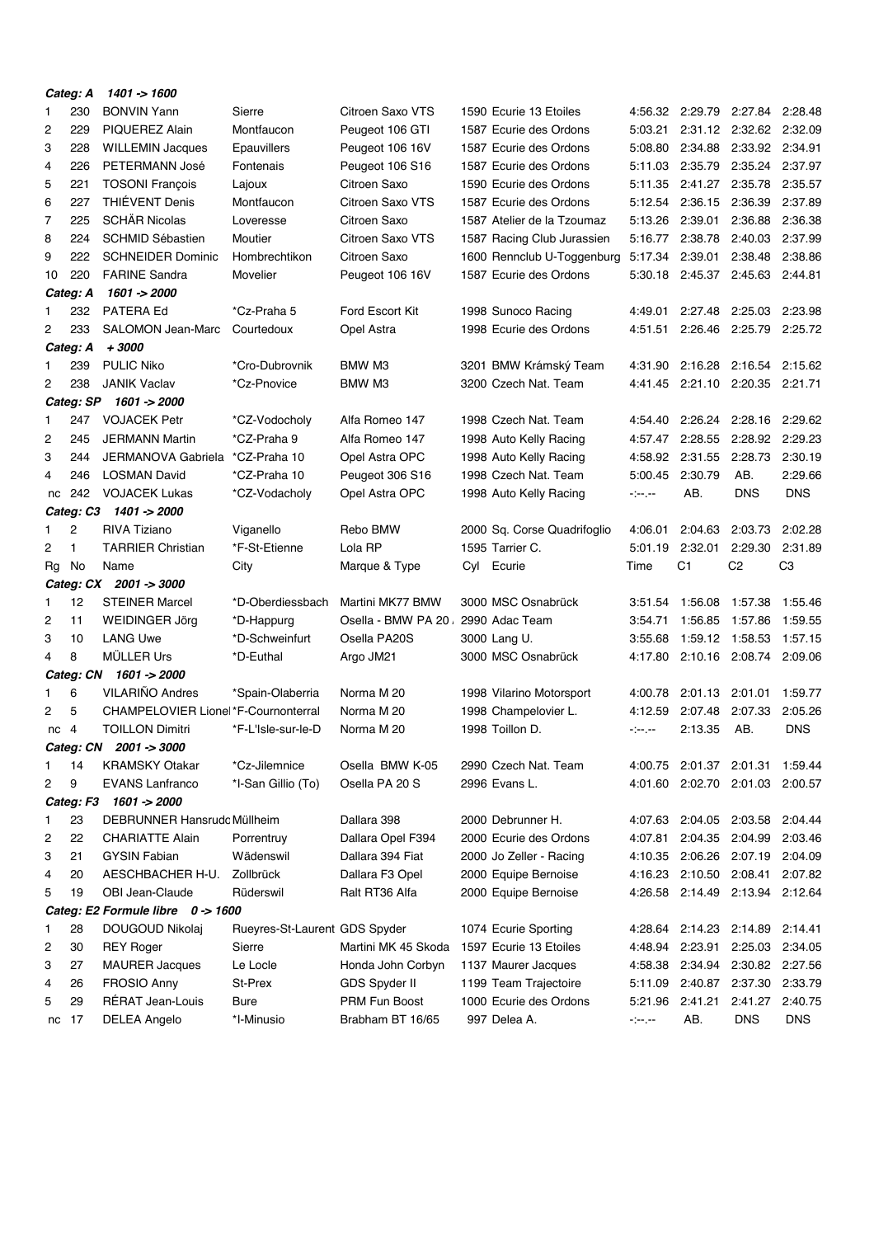|                 | Categ: A       | 1401 -> 1600                                         |                               |                                       |                                                      |                           |                         |                                            |                    |
|-----------------|----------------|------------------------------------------------------|-------------------------------|---------------------------------------|------------------------------------------------------|---------------------------|-------------------------|--------------------------------------------|--------------------|
| 1               | 230<br>229     | <b>BONVIN Yann</b>                                   | Sierre<br>Montfaucon          | Citroen Saxo VTS                      | 1590 Ecurie 13 Etoiles                               | 5:03.21                   |                         | 4:56.32 2:29.79 2:27.84 2:28.48            |                    |
| 2               | 228            | PIQUEREZ Alain                                       |                               | Peugeot 106 GTI                       | 1587 Ecurie des Ordons                               | 5:08.80                   |                         | 2:31.12 2:32.62 2:32.09<br>2:34.88 2:33.92 | 2:34.91            |
| 3<br>4          | 226            | <b>WILLEMIN Jacques</b><br>PETERMANN José            | Epauvillers<br>Fontenais      | Peugeot 106 16V                       | 1587 Ecurie des Ordons<br>1587 Ecurie des Ordons     | 5:11.03                   | 2:35.79                 | 2:35.24                                    | 2:37.97            |
|                 | 221            |                                                      |                               | Peugeot 106 S16<br>Citroen Saxo       | 1590 Ecurie des Ordons                               |                           | 2:41.27                 | 2:35.78                                    | 2:35.57            |
| 5<br>6          | 227            | <b>TOSONI François</b><br>THIÉVENT Denis             | Lajoux<br>Montfaucon          | Citroen Saxo VTS                      | 1587 Ecurie des Ordons                               | 5:11.35<br>5:12.54        |                         | 2:36.39                                    | 2:37.89            |
| 7               | 225            | <b>SCHÄR Nicolas</b>                                 | Loveresse                     | Citroen Saxo                          | 1587 Atelier de la Tzoumaz                           | 5:13.26                   | 2:36.15<br>2:39.01      | 2:36.88                                    | 2:36.38            |
| 8               | 224            | <b>SCHMID Sébastien</b>                              | Moutier                       | Citroen Saxo VTS                      |                                                      | 5:16.77                   | 2:38.78                 | 2:40.03                                    | 2:37.99            |
| 9               | 222            | <b>SCHNEIDER Dominic</b>                             | Hombrechtikon                 | Citroen Saxo                          | 1587 Racing Club Jurassien                           | 5:17.34                   | 2:39.01                 | 2:38.48                                    | 2:38.86            |
| 10              | 220            | <b>FARINE Sandra</b>                                 | Movelier                      |                                       | 1600 Rennclub U-Toggenburg<br>1587 Ecurie des Ordons | 5:30.18                   | 2:45.37                 | 2:45.63                                    | 2:44.81            |
|                 | Categ: A       | 1601 -> 2000                                         |                               | Peugeot 106 16V                       |                                                      |                           |                         |                                            |                    |
| 1               | 232            | <b>PATERA Ed</b>                                     | *Cz-Praha 5                   | Ford Escort Kit                       | 1998 Sunoco Racing                                   | 4:49.01                   | 2:27.48                 | 2:25.03                                    | 2:23.98            |
| 2               | 233            | <b>SALOMON Jean-Marc</b>                             | Courtedoux                    | Opel Astra                            | 1998 Ecurie des Ordons                               | 4:51.51                   |                         | 2:26.46 2:25.79                            | 2:25.72            |
|                 | Categ: A       | $+3000$                                              |                               |                                       |                                                      |                           |                         |                                            |                    |
| 1               | 239            | <b>PULIC Niko</b>                                    | *Cro-Dubrovnik                | BMW M3                                | 3201 BMW Krámský Team                                | 4:31.90                   | 2:16.28                 | 2:16.54                                    | 2:15.62            |
| 2               | 238            | <b>JANIK Vaclav</b>                                  | *Cz-Pnovice                   | BMW M3                                | 3200 Czech Nat. Team                                 | 4:41.45                   | 2:21.10                 | 2:20.35                                    | 2:21.71            |
|                 | Categ: SP      | 1601 -> 2000                                         |                               |                                       |                                                      |                           |                         |                                            |                    |
| 1               | 247            | <b>VOJACEK Petr</b>                                  | *CZ-Vodocholy                 | Alfa Romeo 147                        | 1998 Czech Nat. Team                                 | 4:54.40                   | 2:26.24                 | 2:28.16                                    | 2:29.62            |
| 2               | 245            | <b>JERMANN Martin</b>                                | *CZ-Praha 9                   | Alfa Romeo 147                        | 1998 Auto Kelly Racing                               | 4:57.47                   | 2:28.55                 | 2:28.92                                    | 2:29.23            |
| 3               | 244            | JERMANOVA Gabriela                                   | *CZ-Praha 10                  | Opel Astra OPC                        | 1998 Auto Kelly Racing                               | 4:58.92                   | 2:31.55                 | 2:28.73                                    | 2:30.19            |
| 4               | 246            | <b>LOSMAN David</b>                                  | *CZ-Praha 10                  | Peugeot 306 S16                       | 1998 Czech Nat. Team                                 | 5:00.45                   | 2:30.79                 | AB.                                        | 2:29.66            |
| nc              | 242            | <b>VOJACEK Lukas</b>                                 | *CZ-Vodacholy                 | Opel Astra OPC                        | 1998 Auto Kelly Racing                               | $\sim$ $-$                | AB.                     | <b>DNS</b>                                 | <b>DNS</b>         |
|                 | Categ: C3      | 1401 -> 2000                                         |                               |                                       |                                                      |                           |                         |                                            |                    |
| 1               | 2              | <b>RIVA Tiziano</b>                                  | Viganello                     | Rebo BMW                              | 2000 Sq. Corse Quadrifoglio                          | 4:06.01                   | 2:04.63                 | 2:03.73                                    | 2:02.28            |
| 2               | 1              | <b>TARRIER Christian</b>                             | *F-St-Etienne                 | Lola RP                               | 1595 Tarrier C.                                      | 5:01.19                   | 2:32.01                 | 2:29.30                                    | 2:31.89            |
|                 |                |                                                      |                               |                                       |                                                      |                           |                         |                                            |                    |
|                 |                |                                                      |                               |                                       |                                                      |                           |                         |                                            |                    |
| Rg              | No             | Name                                                 | City                          | Marque & Type                         | Cyl Ecurie                                           | Time                      | C <sub>1</sub>          | C <sub>2</sub>                             | C <sub>3</sub>     |
|                 |                | Categ: CX 2001 -> 3000                               |                               |                                       |                                                      |                           |                         |                                            |                    |
| 1               | 12             | <b>STEINER Marcel</b>                                | *D-Oberdiessbach              | Martini MK77 BMW                      | 3000 MSC Osnabrück                                   | 3:51.54                   | 1:56.08                 | 1:57.38                                    | 1:55.46            |
| 2               | 11             | WEIDINGER Jörg                                       | *D-Happurg                    | Osella - BMW PA 20.<br>Osella PA20S   | 2990 Adac Team                                       | 3:54.71                   | 1:56.85                 | 1:57.86                                    | 1:59.55            |
| 3<br>4          | 10<br>8        | <b>LANG Uwe</b><br><b>MÜLLER Urs</b>                 | *D-Schweinfurt                |                                       | 3000 Lang U.                                         | 3:55.68                   |                         | 1:59.12 1:58.53<br>2:10.16 2:08.74         | 1:57.15<br>2:09.06 |
|                 |                | 1601 -> 2000                                         | *D-Euthal                     | Argo JM21                             | 3000 MSC Osnabrück                                   | 4:17.80                   |                         |                                            |                    |
| 1               | Categ: CN<br>6 | VILARIÑO Andres                                      |                               | Norma M 20                            |                                                      | 4:00.78                   | 2:01.13                 | 2:01.01                                    | 1:59.77            |
| 2               | 5              | CHAMPELOVIER Lione *F-Cournonterral                  | *Spain-Olaberria              | Norma M 20                            | 1998 Vilarino Motorsport<br>1998 Champelovier L.     | 4:12.59                   | 2:07.48                 | 2:07.33                                    | 2:05.26            |
| nc <sub>4</sub> |                | <b>TOILLON Dimitri</b>                               | *F-L'Isle-sur-le-D            | Norma M 20                            | 1998 Toillon D.                                      | $\sim 100$ and $\sim 100$ | 2:13.35                 | AB.                                        | <b>DNS</b>         |
|                 | Categ: CN      | $2001 - 3000$                                        |                               |                                       |                                                      |                           |                         |                                            |                    |
|                 | 14             | <b>KRAMSKY Otakar</b>                                | *Cz-Jilemnice                 | Osella BMW K-05                       | 2990 Czech Nat. Team                                 |                           |                         | 4:00.75 2:01.37 2:01.31 1:59.44            |                    |
| 2               | 9              | <b>EVANS Lanfranco</b>                               | *I-San Gillio (To)            | Osella PA 20 S                        | 2996 Evans L.                                        |                           | 4:01.60 2:02.70 2:01.03 |                                            | 2:00.57            |
|                 | Categ: F3      | 1601 -> 2000                                         |                               |                                       |                                                      |                           |                         |                                            |                    |
| 1               | 23             | DEBRUNNER Hansrudc Müllheim                          |                               | Dallara 398                           | 2000 Debrunner H.                                    |                           | 4:07.63 2:04.05 2:03.58 |                                            | 2:04.44            |
| 2               | 22             | <b>CHARIATTE Alain</b>                               | Porrentruy                    |                                       | 2000 Ecurie des Ordons                               | 4:07.81                   | 2:04.35                 | 2:04.99                                    | 2:03.46            |
| 3               | 21             | <b>GYSIN Fabian</b>                                  | Wädenswil                     | Dallara Opel F394<br>Dallara 394 Fiat | 2000 Jo Zeller - Racing                              | 4:10.35                   | 2:06.26                 | 2:07.19                                    | 2:04.09            |
| 4               | 20             | AESCHBACHER H-U.                                     | Zollbrück                     | Dallara F3 Opel                       |                                                      | 4:16.23                   | 2:10.50                 | 2:08.41                                    | 2:07.82            |
| 5               | 19             | OBI Jean-Claude                                      | Rüderswil                     | Ralt RT36 Alfa                        | 2000 Equipe Bernoise<br>2000 Equipe Bernoise         | 4:26.58                   | 2:14.49 2:13.94         |                                            | 2:12.64            |
|                 |                |                                                      |                               |                                       |                                                      |                           |                         |                                            |                    |
| 1               | 28             | Categ: E2 Formule libre 0 -> 1600<br>DOUGOUD Nikolaj | Rueyres-St-Laurent GDS Spyder |                                       | 1074 Ecurie Sporting                                 |                           |                         | 4:28.64 2:14.23 2:14.89 2:14.41            |                    |
| 2               | 30             | <b>REY Roger</b>                                     | Sierre                        | Martini MK 45 Skoda                   | 1597 Ecurie 13 Etoiles                               | 4:48.94                   | 2:23.91                 | 2:25.03                                    | 2:34.05            |
| 3               | 27             | <b>MAURER Jacques</b>                                | Le Locle                      | Honda John Corbyn                     | 1137 Maurer Jacques                                  | 4:58.38                   | 2:34.94                 | 2:30.82 2:27.56                            |                    |
| 4               | 26             | <b>FROSIO Anny</b>                                   | St-Prex                       | GDS Spyder II                         | 1199 Team Trajectoire                                | 5:11.09                   | 2:40.87                 | 2:37.30                                    | 2:33.79            |
| 5               | 29             | RÉRAT Jean-Louis                                     | <b>Bure</b>                   | PRM Fun Boost                         | 1000 Ecurie des Ordons                               | 5:21.96                   | 2:41.21                 | 2:41.27                                    | 2:40.75            |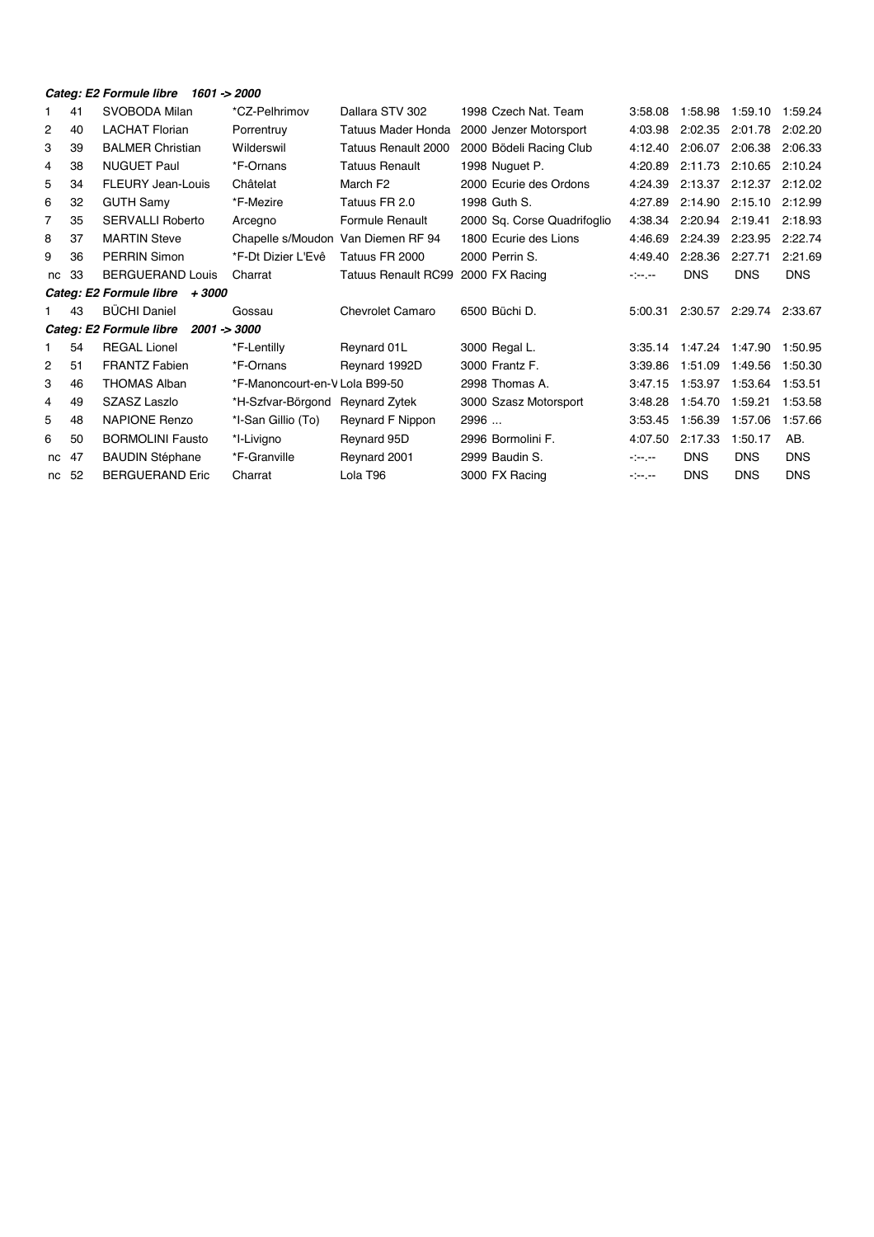|  | Categ: E2 Formule libre 1601 -> 2000 |  |  |
|--|--------------------------------------|--|--|
|--|--------------------------------------|--|--|

| 1  | 41 | SVOBODA Milan                            | *CZ-Pelhrimov                  | Dallara STV 302       | 1998 Czech Nat. Team        | 3:58.08                                                                                                                                                                           | 1:58.98    | 1:59.10         | 1:59.24    |
|----|----|------------------------------------------|--------------------------------|-----------------------|-----------------------------|-----------------------------------------------------------------------------------------------------------------------------------------------------------------------------------|------------|-----------------|------------|
| 2  | 40 | <b>LACHAT Florian</b>                    | Porrentruy                     | Tatuus Mader Honda    | 2000 Jenzer Motorsport      | 4:03.98                                                                                                                                                                           | 2:02.35    | 2:01.78         | 2:02.20    |
| 3  | 39 | <b>BALMER Christian</b>                  | Wilderswil                     | Tatuus Renault 2000   | 2000 Bödeli Racing Club     | 4:12.40                                                                                                                                                                           | 2:06.07    | 2:06.38         | 2:06.33    |
| 4  | 38 | <b>NUGUET Paul</b>                       | *F-Ornans                      | <b>Tatuus Renault</b> | 1998 Nuguet P.              | 4:20.89                                                                                                                                                                           | 2:11.73    | 2:10.65         | 2:10.24    |
| 5  | 34 | FLEURY Jean-Louis                        | Châtelat                       | March F <sub>2</sub>  | 2000 Ecurie des Ordons      | 4:24.39                                                                                                                                                                           | 2:13.37    | 2:12.37         | 2:12.02    |
| 6  | 32 | <b>GUTH Samy</b>                         | *F-Mezire                      | Tatuus FR 2.0         | 1998 Guth S.                | 4:27.89                                                                                                                                                                           | 2:14.90    | 2:15.10         | 2:12.99    |
| 7  | 35 | <b>SERVALLI Roberto</b>                  | Arcegno                        | Formule Renault       | 2000 Sq. Corse Quadrifoglio | 4:38.34                                                                                                                                                                           | 2:20.94    | 2:19.41         | 2:18.93    |
| 8  | 37 | <b>MARTIN Steve</b>                      | Chapelle s/Moudon              | Van Diemen RF 94      | 1800 Ecurie des Lions       | 4:46.69                                                                                                                                                                           | 2:24.39    | 2:23.95         | 2:22.74    |
| 9  | 36 | <b>PERRIN Simon</b>                      | *F-Dt Dizier L'Evê             | Tatuus FR 2000        | 2000 Perrin S.              | 4:49.40                                                                                                                                                                           | 2:28.36    | 2:27.71         | 2:21.69    |
| nc | 33 | <b>BERGUERAND Louis</b>                  | Charrat                        | Tatuus Renault RC99   | 2000 FX Racing              | $\sim 100$                                                                                                                                                                        | <b>DNS</b> | <b>DNS</b>      | <b>DNS</b> |
|    |    | Categ: E2 Formule libre + 3000           |                                |                       |                             |                                                                                                                                                                                   |            |                 |            |
|    | 43 | <b>BÜCHI Daniel</b>                      | Gossau                         | Chevrolet Camaro      | 6500 Büchi D.               | 5:00.31                                                                                                                                                                           | 2:30.57    | 2:29.74         | 2:33.67    |
|    |    | Categ: E2 Formule libre<br>$2001 - 3000$ |                                |                       |                             |                                                                                                                                                                                   |            |                 |            |
| 1. | 54 | <b>REGAL Lionel</b>                      | *F-Lentilly                    | Reynard 01L           | 3000 Regal L.               | 3:35.14                                                                                                                                                                           |            | 1:47.24 1:47.90 | 1:50.95    |
| 2  | 51 | <b>FRANTZ Fabien</b>                     | *F-Ornans                      | Reynard 1992D         | 3000 Frantz F.              | 3:39.86                                                                                                                                                                           | 1:51.09    | 1:49.56         | 1:50.30    |
| 3  | 46 | <b>THOMAS Alban</b>                      | *F-Manoncourt-en-V Lola B99-50 |                       | 2998 Thomas A.              | 3:47.15                                                                                                                                                                           | 1:53.97    | 1:53.64         | 1:53.51    |
| 4  | 49 | SZASZ Laszlo                             | *H-Szfvar-Börgond              | <b>Reynard Zytek</b>  | 3000 Szasz Motorsport       | 3:48.28                                                                                                                                                                           | 1:54.70    | 1:59.21         | 1:53.58    |
| 5  | 48 | <b>NAPIONE Renzo</b>                     | *I-San Gillio (To)             | Reynard F Nippon      | 2996                        | 3:53.45                                                                                                                                                                           | 1:56.39    | 1:57.06         | 1:57.66    |
| 6  | 50 | <b>BORMOLINI Fausto</b>                  | *I-Livigno                     | Reynard 95D           | 2996 Bormolini F.           | 4:07.50                                                                                                                                                                           | 2:17.33    | 1:50.17         | AB.        |
| nc | 47 | <b>BAUDIN Stéphane</b>                   | *F-Granville                   | Reynard 2001          | 2999 Baudin S.              | $\label{eq:4} \frac{1}{2} \left( \frac{1}{2} \cos \left( \frac{1}{2} \right) + \frac{1}{2} \cos \left( \frac{1}{2} \right) + \frac{1}{2} \cos \left( \frac{1}{2} \right) \right)$ | <b>DNS</b> | <b>DNS</b>      | <b>DNS</b> |
| nc | 52 | <b>BERGUERAND Eric</b>                   | Charrat                        | Lola T96              | 3000 FX Racing              | $\mathcal{L}^{\text{max}}_{\text{max}}$                                                                                                                                           | <b>DNS</b> | <b>DNS</b>      | <b>DNS</b> |
|    |    |                                          |                                |                       |                             |                                                                                                                                                                                   |            |                 |            |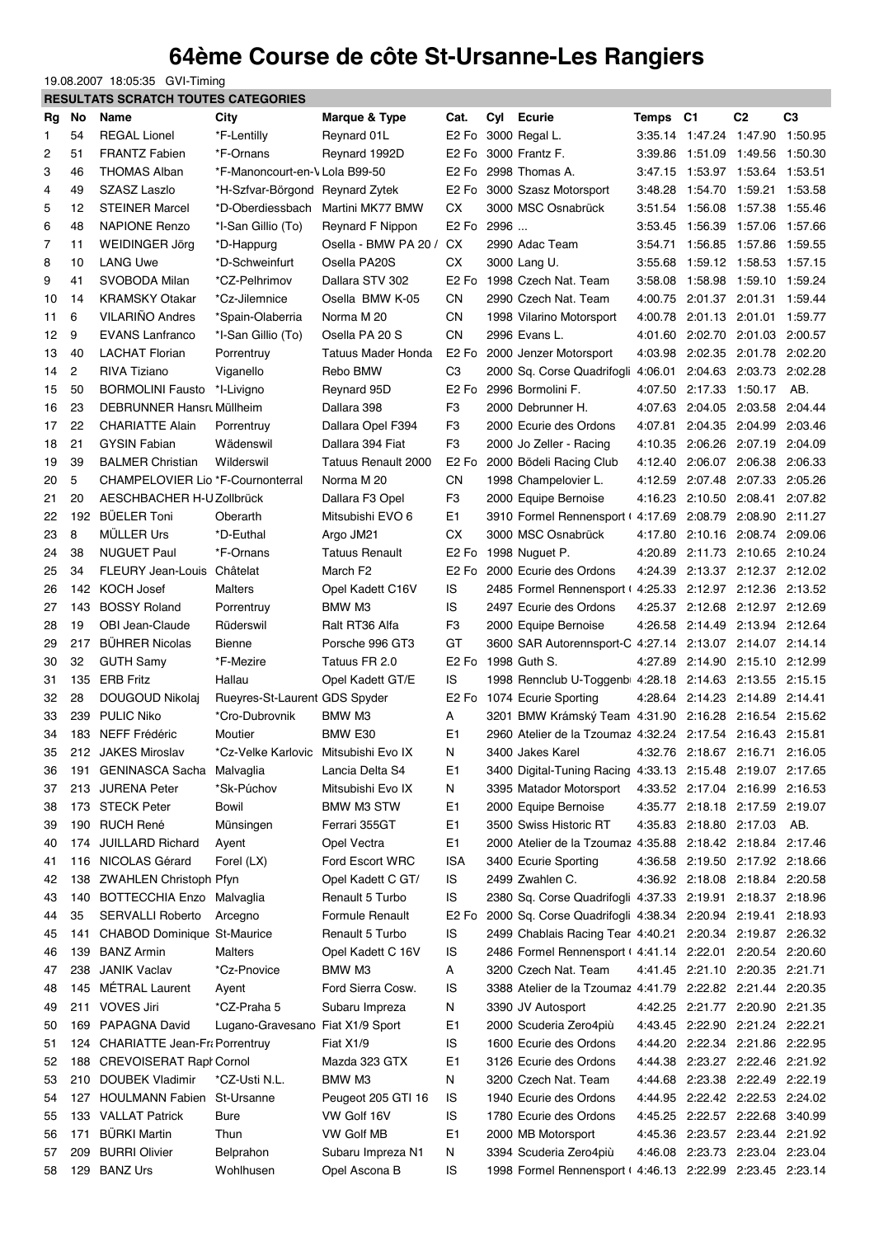## **64ème Course de côte St-Ursanne-Les Rangiers**

19.08.2007 18:05:35 GVI-Timing

|                |     | <b>RESULTATS SCRATCH TOUTES CATEGORIES</b> |                                      |                           |                               |      |                                                               |          |                                 |                         |                |
|----------------|-----|--------------------------------------------|--------------------------------------|---------------------------|-------------------------------|------|---------------------------------------------------------------|----------|---------------------------------|-------------------------|----------------|
| Rg             | No  | Name                                       | City                                 | Marque & Type             | Cat.                          | Cyl  | <b>Ecurie</b>                                                 | Temps C1 |                                 | C <sub>2</sub>          | C <sub>3</sub> |
| 1              | 54  | <b>REGAL Lionel</b>                        | *F-Lentilly                          | Reynard 01L               | E <sub>2</sub> F <sub>o</sub> |      | 3000 Regal L.                                                 |          | 3:35.14 1:47.24 1:47.90 1:50.95 |                         |                |
| $\overline{c}$ | 51  | <b>FRANTZ Fabien</b>                       | *F-Ornans                            | Reynard 1992D             | E <sub>2</sub> F <sub>o</sub> |      | 3000 Frantz F.                                                |          | 3:39.86 1:51.09 1:49.56         |                         | 1:50.30        |
| 3              | 46  | <b>THOMAS Alban</b>                        | *F-Manoncourt-en-V Lola B99-50       |                           | E <sub>2</sub> F <sub>o</sub> |      | 2998 Thomas A.                                                |          | 3:47.15 1:53.97 1:53.64         |                         | 1:53.51        |
| 4              | 49  | <b>SZASZ Laszlo</b>                        | *H-Szfvar-Börgond                    | <b>Reynard Zytek</b>      | E <sub>2</sub> F <sub>o</sub> |      | 3000 Szasz Motorsport                                         | 3:48.28  | 1:54.70 1:59.21                 |                         | 1:53.58        |
| 5              | 12  | <b>STEINER Marcel</b>                      | *D-Oberdiessbach                     | Martini MK77 BMW          | <b>CX</b>                     |      | 3000 MSC Osnabrück                                            | 3:51.54  | 1:56.08 1:57.38                 |                         | 1:55.46        |
| 6              | 48  | <b>NAPIONE Renzo</b>                       | *I-San Gillio (To)                   | Reynard F Nippon          | E <sub>2</sub> F <sub>o</sub> | 2996 |                                                               | 3:53.45  | 1:56.39 1:57.06                 |                         | 1:57.66        |
| 7              | 11  | WEIDINGER Jörg                             | *D-Happurg                           | Osella - BMW PA 20 /      | СX                            |      | 2990 Adac Team                                                | 3:54.71  | 1:56.85 1:57.86                 |                         | 1:59.55        |
| 8              | 10  | <b>LANG Uwe</b>                            | *D-Schweinfurt                       | Osella PA20S              | CX.                           |      | 3000 Lang U.                                                  |          | 3:55.68 1:59.12 1:58.53         |                         | 1:57.15        |
| 9              | 41  | SVOBODA Milan                              | *CZ-Pelhrimov                        | Dallara STV 302           | E <sub>2</sub> F <sub>o</sub> |      | 1998 Czech Nat. Team                                          |          | 3:58.08 1:58.98 1:59.10 1:59.24 |                         |                |
| 10             | 14  | <b>KRAMSKY Otakar</b>                      | *Cz-Jilemnice                        | Osella BMW K-05           | <b>CN</b>                     |      | 2990 Czech Nat. Team                                          |          | 4:00.75 2:01.37 2:01.31         |                         | 1:59.44        |
| 11             | 6   | <b>VILARIÑO Andres</b>                     | *Spain-Olaberria                     | Norma M 20                | CN                            |      | 1998 Vilarino Motorsport                                      | 4:00.78  |                                 | 2:01.13 2:01.01         | 1:59.77        |
| 12             | 9   | <b>EVANS Lanfranco</b>                     | *I-San Gillio (To)                   | Osella PA 20 S            | <b>CN</b>                     |      | 2996 Evans L.                                                 | 4:01.60  |                                 | 2:02.70 2:01.03 2:00.57 |                |
| 13             | 40  | <b>LACHAT Florian</b>                      | Porrentruy                           | <b>Tatuus Mader Honda</b> | E <sub>2</sub> F <sub>o</sub> |      | 2000 Jenzer Motorsport                                        | 4:03.98  |                                 | 2:02.35 2:01.78 2:02.20 |                |
| 14             | 2   | RIVA Tiziano                               | Viganello                            | Rebo BMW                  | C <sub>3</sub>                |      | 2000 Sq. Corse Quadrifogli 4:06.01 2:04.63 2:03.73 2:02.28    |          |                                 |                         |                |
| 15             | 50  | <b>BORMOLINI Fausto</b>                    | *I-Livigno                           | Reynard 95D               | E <sub>2</sub> F <sub>o</sub> |      | 2996 Bormolini F.                                             |          | 4:07.50 2:17.33 1:50.17         |                         | AB.            |
| 16             | 23  | DEBRUNNER Hansry Müllheim                  |                                      | Dallara 398               | F3                            |      | 2000 Debrunner H.                                             |          | 4:07.63 2:04.05 2:03.58         |                         | 2:04.44        |
| 17             | 22  | <b>CHARIATTE Alain</b>                     | Porrentruy                           | Dallara Opel F394         | F3                            |      | 2000 Ecurie des Ordons                                        | 4:07.81  |                                 | 2:04.35 2:04.99         | 2:03.46        |
| 18             | 21  | <b>GYSIN Fabian</b>                        | Wädenswil                            | Dallara 394 Fiat          | F <sub>3</sub>                |      | 2000 Jo Zeller - Racing                                       | 4:10.35  |                                 | 2:06.26 2:07.19 2:04.09 |                |
| 19             | 39  | <b>BALMER Christian</b>                    | Wilderswil                           | Tatuus Renault 2000       | E <sub>2</sub> F <sub>o</sub> |      | 2000 Bödeli Racing Club                                       | 4:12.40  |                                 | 2:06.07 2:06.38         | 2:06.33        |
| 20             | 5   | CHAMPELOVIER Lio *F-Cournonterral          |                                      | Norma M 20                | CN                            |      | 1998 Champelovier L.                                          | 4:12.59  |                                 | 2:07.48 2:07.33         | 2:05.26        |
| 21             | 20  | AESCHBACHER H-U Zollbrück                  |                                      | Dallara F3 Opel           | F3                            |      | 2000 Equipe Bernoise                                          | 4:16.23  |                                 | 2:10.50 2:08.41         | 2:07.82        |
| 22             | 192 | <b>BÜELER Toni</b>                         | Oberarth                             | Mitsubishi EVO 6          | E1                            |      | 3910 Formel Rennensport (4:17.69                              |          | 2:08.79                         | 2:08.90                 | 2:11.27        |
| 23             | 8   | <b>MÜLLER Urs</b>                          | *D-Euthal                            | Argo JM21                 | <b>CX</b>                     |      | 3000 MSC Osnabrück                                            |          | 4:17.80 2:10.16 2:08.74         |                         | 2:09.06        |
| 24             | 38  | <b>NUGUET Paul</b>                         | *F-Ornans                            | <b>Tatuus Renault</b>     | E <sub>2</sub> F <sub>o</sub> |      | 1998 Nuguet P.                                                | 4:20.89  |                                 | 2:11.73 2:10.65 2:10.24 |                |
| 25             | 34  | <b>FLEURY Jean-Louis</b>                   | Châtelat                             | March F2                  |                               |      | E2 Fo 2000 Ecurie des Ordons                                  |          | 4:24.39 2:13.37 2:12.37 2:12.02 |                         |                |
| 26             | 142 | <b>KOCH Josef</b>                          | Malters                              | Opel Kadett C16V          | IS                            |      | 2485 Formel Rennensport ( 4:25.33 2:12.97 2:12.36             |          |                                 |                         | 2:13.52        |
| 27             | 143 | <b>BOSSY Roland</b>                        | Porrentruy                           | BMW M3                    | IS                            |      | 2497 Ecurie des Ordons                                        |          | 4:25.37 2:12.68 2:12.97 2:12.69 |                         |                |
| 28             | 19  | OBI Jean-Claude                            | Rüderswil                            | Ralt RT36 Alfa            | F <sub>3</sub>                |      | 2000 Equipe Bernoise                                          |          | 4:26.58 2:14.49 2:13.94 2:12.64 |                         |                |
| 29             | 217 | <b>BÜHRER Nicolas</b>                      | <b>Bienne</b>                        | Porsche 996 GT3           | GT                            |      | 3600 SAR Autorennsport C 4:27.14 2:13.07 2:14.07 2:14.14      |          |                                 |                         |                |
| 30             | 32  | <b>GUTH Samy</b>                           | *F-Mezire                            | Tatuus FR 2.0             | E <sub>2</sub> F <sub>o</sub> |      | 1998 Guth S.                                                  |          | 4:27.89 2:14.90 2:15.10 2:12.99 |                         |                |
| 31             | 135 | <b>ERB Fritz</b>                           | Hallau                               | Opel Kadett GT/E          | IS                            |      | 1998 Rennclub U Toggenb 4:28.18 2:14.63 2:13.55 2:15.15       |          |                                 |                         |                |
| 32             | 28  | DOUGOUD Nikolai                            | Rueyres-St-Laurent GDS Spyder        |                           | E2 Fo                         |      | 1074 Ecurie Sporting                                          |          | 4:28.64 2:14.23 2:14.89 2:14.41 |                         |                |
| 33             | 239 | <b>PULIC Niko</b>                          | *Cro-Dubrovnik                       | BMW M3                    | Α                             |      | 3201 BMW Krámský Team 4:31.90 2:16.28 2:16.54 2:15.62         |          |                                 |                         |                |
| 34             | 183 | NEFF Frédéric                              | Moutier                              | BMW E30                   | E1                            |      | 2960 Atelier de la Tzoumaz 4:32.24 2:17.54 2:16.43 2:15.81    |          |                                 |                         |                |
| 35             |     | 212 JAKES Miroslav                         | *Cz-Velke Karlovic Mitsubishi Evo IX |                           | N                             |      | 3400 Jakes Karel                                              |          | 4:32.76 2:18.67 2:16.71         |                         | 2:16.05        |
| 36             |     | 191 GENINASCA Sacha                        | Malvaglia                            | Lancia Delta S4           | E1                            |      | 3400 Digital Tuning Racing 4:33.13 2:15.48 2:19.07 2:17.65    |          |                                 |                         |                |
| 37             | 213 | <b>JURENA Peter</b>                        | *Sk-Púchov                           | Mitsubishi Evo IX         | N                             |      | 3395 Matador Motorsport                                       |          | 4:33.52 2:17.04 2:16.99 2:16.53 |                         |                |
| 38             | 173 | <b>STECK Peter</b>                         | Bowil                                | BMW M3 STW                | E1                            |      | 2000 Equipe Bernoise                                          |          | 4:35.77 2:18.18 2:17.59 2:19.07 |                         |                |
| 39             | 190 | <b>RUCH René</b>                           | Münsingen                            | Ferrari 355GT             | E1                            |      | 3500 Swiss Historic RT                                        |          | 4:35.83 2:18.80 2:17.03         |                         | AB.            |
| 40             |     | 174 JUILLARD Richard                       | Avent                                | Opel Vectra               | E1                            |      | 2000 Atelier de la Tzoumaz 4:35.88  2:18.42  2:18.84  2:17.46 |          |                                 |                         |                |
| 41             | 116 | NICOLAS Gérard                             | Forel (LX)                           | Ford Escort WRC           | ISA                           |      | 3400 Ecurie Sporting                                          |          | 4:36.58 2:19.50 2:17.92 2:18.66 |                         |                |
| 42             | 138 | <b>ZWAHLEN Christoph Pfyn</b>              |                                      | Opel Kadett C GT/         | IS                            |      | 2499 Zwahlen C.                                               |          | 4:36.92 2:18.08 2:18.84 2:20.58 |                         |                |
| 43             | 140 | <b>BOTTECCHIA Enzo</b>                     | Malvaglia                            | Renault 5 Turbo           | IS                            |      | 2380 Sq. Corse Quadrifogli 4:37.33 2:19.91 2:18.37 2:18.96    |          |                                 |                         |                |
| 44             | 35  | <b>SERVALLI Roberto</b>                    | Arcegno                              | <b>Formule Renault</b>    | E <sub>2</sub> F <sub>o</sub> |      | 2000 Sq. Corse Quadrifogli 4:38.34 2:20.94 2:19.41 2:18.93    |          |                                 |                         |                |
| 45             | 141 | CHABOD Dominique St-Maurice                |                                      | Renault 5 Turbo           | IS                            |      | 2499 Chablais Racing Tear 4:40.21 2:20.34 2:19.87 2:26.32     |          |                                 |                         |                |
| 46             | 139 | <b>BANZ Armin</b>                          | <b>Malters</b>                       | Opel Kadett C 16V         | IS                            |      | 2486 Formel Rennensport (4:41.14 2:22.01 2:20.54 2:20.60      |          |                                 |                         |                |
| 47             | 238 | <b>JANIK Vaclav</b>                        | *Cz-Pnovice                          | BMW M3                    | A                             |      | 3200 Czech Nat. Team                                          |          | 4:41.45 2:21.10 2:20.35 2:21.71 |                         |                |
| 48             | 145 | <b>MÉTRAL Laurent</b>                      | Ayent                                | Ford Sierra Cosw.         | IS                            |      | 3388 Atelier de la Tzoumaz 4:41.79 2:22.82 2:21.44 2:20.35    |          |                                 |                         |                |
| 49             | 211 | <b>VOVES Jiri</b>                          | *CZ-Praha 5                          | Subaru Impreza            | N                             |      | 3390 JV Autosport                                             |          | 4:42.25 2:21.77 2:20.90 2:21.35 |                         |                |
| 50             | 169 | PAPAGNA David                              | Lugano-Gravesano                     | Fiat X1/9 Sport           | E1                            |      | 2000 Scuderia Zero4più                                        |          | 4:43.45 2:22.90 2:21.24 2:22.21 |                         |                |
| 51             | 124 | CHARIATTE Jean-Fra Porrentruy              |                                      | Fiat X1/9                 | IS                            |      | 1600 Ecurie des Ordons                                        |          | 4:44.20 2:22.34 2:21.86 2:22.95 |                         |                |
| 52             | 188 | <b>CREVOISERAT Rapl Cornol</b>             |                                      | Mazda 323 GTX             | E1                            |      | 3126 Ecurie des Ordons                                        |          | 4:44.38 2:23.27 2:22.46 2:21.92 |                         |                |
| 53             | 210 | <b>DOUBEK Vladimir</b>                     | *CZ-Usti N.L.                        | BMW M3                    | Ν                             |      | 3200 Czech Nat. Team                                          |          | 4:44.68 2:23.38 2:22.49 2:22.19 |                         |                |
| 54             | 127 | <b>HOULMANN Fabien</b>                     | St-Ursanne                           | Peugeot 205 GTI 16        | IS                            |      | 1940 Ecurie des Ordons                                        |          | 4:44.95 2:22.42 2:22.53 2:24.02 |                         |                |
| 55             |     | 133 VALLAT Patrick                         | Bure                                 | VW Golf 16V               | IS                            |      | 1780 Ecurie des Ordons                                        |          | 4:45.25 2:22.57 2:22.68         |                         | 3:40.99        |
| 56             | 171 | <b>BÜRKI Martin</b>                        | Thun                                 | VW Golf MB                | E1                            |      | 2000 MB Motorsport                                            |          | 4:45.36 2:23.57 2:23.44 2:21.92 |                         |                |
| 57             | 209 | <b>BURRI Olivier</b>                       | Belprahon                            | Subaru Impreza N1         | N                             |      | 3394 Scuderia Zero4più                                        |          | 4:46.08 2:23.73 2:23.04 2:23.04 |                         |                |
| 58             | 129 | <b>BANZ Urs</b>                            | Wohlhusen                            | Opel Ascona B             | IS                            |      | 1998 Formel Rennensport (4:46.13 2:22.99 2:23.45 2:23.14      |          |                                 |                         |                |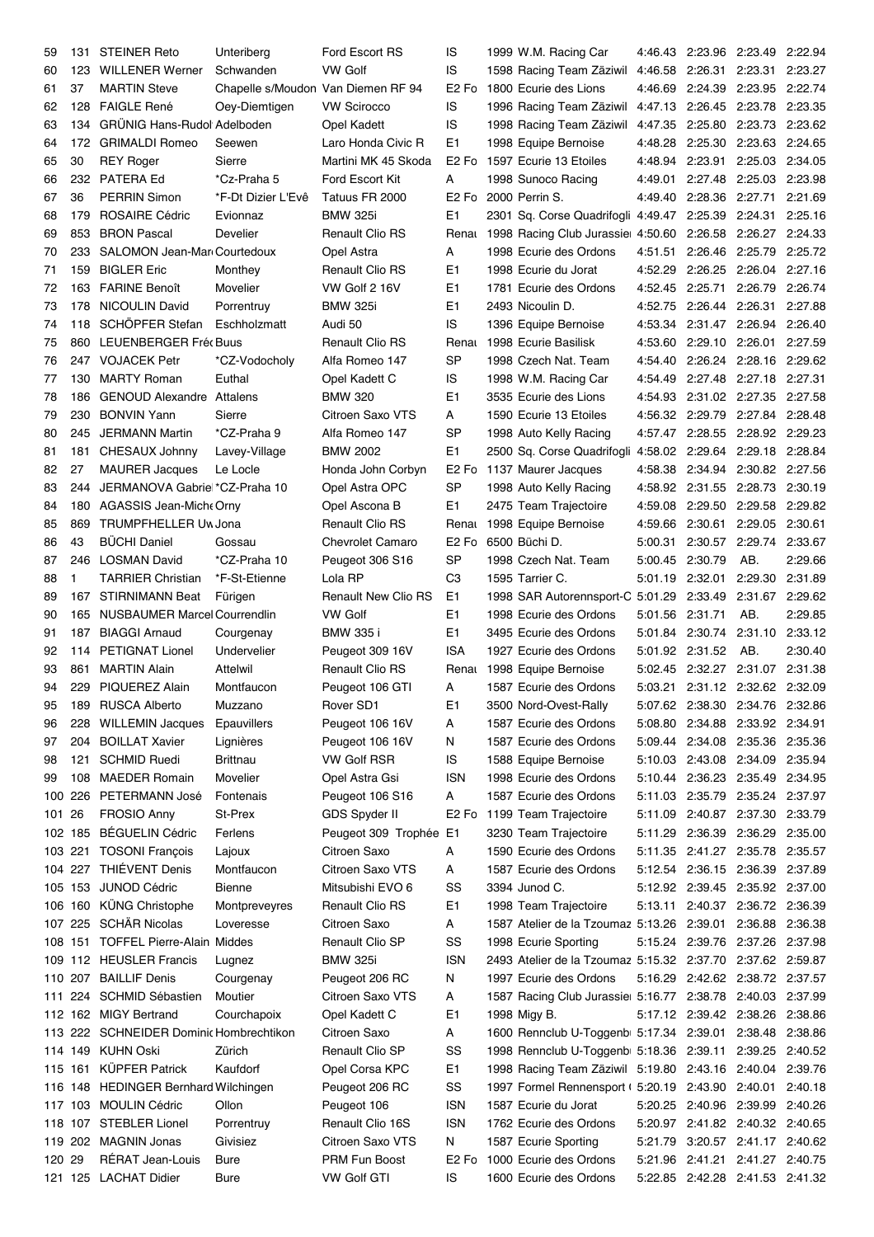| 59      | 131     | <b>STEINER Reto</b>                     | Unteriberg                         | Ford Escort RS             | IS                            | 1999 W.M. Racing Car                                            |                 | 4:46.43 2:23.96 2:23.49 2:22.94 |                 |         |
|---------|---------|-----------------------------------------|------------------------------------|----------------------------|-------------------------------|-----------------------------------------------------------------|-----------------|---------------------------------|-----------------|---------|
| 60      |         | 123 WILLENER Werner                     | Schwanden                          | <b>VW Golf</b>             | IS                            | 1598 Racing Team Zäziwil                                        |                 | 4:46.58 2:26.31 2:23.31 2:23.27 |                 |         |
| 61      | 37      | <b>MARTIN Steve</b>                     | Chapelle s/Moudon Van Diemen RF 94 |                            | E <sub>2</sub> F <sub>o</sub> | 1800 Ecurie des Lions                                           | 4:46.69         | 2:24.39 2:23.95 2:22.74         |                 |         |
| 62      |         | 128 FAIGLE René                         | Oey-Diemtigen                      | <b>VW Scirocco</b>         | IS                            | 1996 Racing Team Zäziwil                                        |                 | 4:47.13 2:26.45 2:23.78 2:23.35 |                 |         |
| 63      | 134     | GRÜNIG Hans-Rudol Adelboden             |                                    | Opel Kadett                | IS                            | 1998 Racing Team Zäziwil                                        |                 | 4:47.35 2:25.80 2:23.73 2:23.62 |                 |         |
| 64      | 172     | <b>GRIMALDI Romeo</b>                   | Seewen                             | Laro Honda Civic R         | E1                            | 1998 Equipe Bernoise                                            |                 | 4:48.28 2:25.30 2:23.63 2:24.65 |                 |         |
| 65      | 30      | <b>REY Roger</b>                        | Sierre                             | Martini MK 45 Skoda        | E <sub>2</sub> F <sub>o</sub> | 1597 Ecurie 13 Etoiles                                          |                 | 4:48.94 2:23.91 2:25.03 2:34.05 |                 |         |
|         | 232     | PATERA Ed                               | *Cz-Praha 5                        | Ford Escort Kit            | A                             | 1998 Sunoco Racing                                              |                 | 4:49.01 2:27.48 2:25.03 2:23.98 |                 |         |
| 66      |         |                                         |                                    |                            |                               |                                                                 |                 |                                 |                 |         |
| 67      | 36      | <b>PERRIN Simon</b>                     | *F-Dt Dizier L'Evê                 | Tatuus FR 2000             | E <sub>2</sub> F <sub>o</sub> | 2000 Perrin S.                                                  |                 | 4:49.40 2:28.36 2:27.71 2:21.69 |                 |         |
| 68      | 179     | <b>ROSAIRE Cédric</b>                   | Evionnaz                           | <b>BMW 325i</b>            | E1                            | 2301 Sq. Corse Quadrifogli 4:49.47 2:25.39 2:24.31 2:25.16      |                 |                                 |                 |         |
| 69      | 853     | <b>BRON Pascal</b>                      | Develier                           | <b>Renault Clio RS</b>     |                               | Renat 1998 Racing Club Jurassie 4:50.60 2:26.58 2:26.27 2:24.33 |                 |                                 |                 |         |
| 70      | 233     | SALOMON Jean-Mar Courtedoux             |                                    | Opel Astra                 | Α                             | 1998 Ecurie des Ordons                                          |                 | 4:51.51 2:26.46 2:25.79 2:25.72 |                 |         |
| 71      | 159     | <b>BIGLER Eric</b>                      | Monthey                            | <b>Renault Clio RS</b>     | E1                            | 1998 Ecurie du Jorat                                            |                 | 4:52.29 2:26.25 2:26.04 2:27.16 |                 |         |
| 72      |         | 163 FARINE Benoît                       | Movelier                           | VW Golf 2 16V              | E1                            | 1781 Ecurie des Ordons                                          |                 | 4:52.45 2:25.71 2:26.79 2:26.74 |                 |         |
| 73      | 178     | <b>NICOULIN David</b>                   | Porrentruy                         | <b>BMW 325i</b>            | E1                            | 2493 Nicoulin D.                                                |                 | 4:52.75 2:26.44 2:26.31         |                 | 2:27.88 |
| 74      | 118     | SCHÖPFER Stefan                         | Eschholzmatt                       | Audi 50                    | IS                            | 1396 Equipe Bernoise                                            |                 | 4:53.34 2:31.47 2:26.94 2:26.40 |                 |         |
| 75      |         | 860 LEUENBERGER Fréc Buus               |                                    | <b>Renault Clio RS</b>     |                               | Renat 1998 Ecurie Basilisk                                      | 4:53.60         | 2:29.10 2:26.01 2:27.59         |                 |         |
| 76      | 247     | <b>VOJACEK Petr</b>                     | *CZ-Vodocholy                      | Alfa Romeo 147             | <b>SP</b>                     | 1998 Czech Nat. Team                                            | 4:54.40         | 2:26.24 2:28.16 2:29.62         |                 |         |
| 77      | 130     | <b>MARTY Roman</b>                      | Euthal                             | Opel Kadett C              | IS                            | 1998 W.M. Racing Car                                            | 4:54.49         | 2:27.48 2:27.18 2:27.31         |                 |         |
| 78      | 186     | <b>GENOUD Alexandre Attalens</b>        |                                    | <b>BMW 320</b>             | E1                            | 3535 Ecurie des Lions                                           | 4:54.93         | 2:31.02 2:27.35 2:27.58         |                 |         |
| 79      | 230     | <b>BONVIN Yann</b>                      | Sierre                             | Citroen Saxo VTS           | A                             | 1590 Ecurie 13 Etoiles                                          |                 | 4:56.32 2:29.79 2:27.84 2:28.48 |                 |         |
| 80      | 245     | JERMANN Martin                          | *CZ-Praha 9                        | Alfa Romeo 147             | SP                            | 1998 Auto Kelly Racing                                          |                 | 4:57.47 2:28.55 2:28.92 2:29.23 |                 |         |
| 81      | 181     | CHESAUX Johnny                          | Lavey-Village                      | <b>BMW 2002</b>            | E1                            | 2500 Sq. Corse Quadrifogli                                      |                 | 4:58.02 2:29.64 2:29.18 2:28.84 |                 |         |
| 82      | 27      | <b>MAURER Jacques</b>                   | Le Locle                           | Honda John Corbyn          | E <sub>2</sub> F <sub>o</sub> | 1137 Maurer Jacques                                             |                 | 4:58.38 2:34.94 2:30.82 2:27.56 |                 |         |
| 83      | 244     | JERMANOVA Gabrie *CZ-Praha 10           |                                    | Opel Astra OPC             | <b>SP</b>                     | 1998 Auto Kelly Racing                                          |                 | 4:58.92 2:31.55 2:28.73         |                 | 2:30.19 |
| 84      | 180     | AGASSIS Jean-Miche Orny                 |                                    | Opel Ascona B              | E1                            | 2475 Team Trajectoire                                           |                 | 4:59.08 2:29.50 2:29.58         |                 | 2:29.82 |
|         |         |                                         |                                    |                            |                               |                                                                 |                 |                                 |                 |         |
| 85      | 869     | <b>TRUMPFHELLER Uw Jona</b>             |                                    | <b>Renault Clio RS</b>     | Renau                         | 1998 Equipe Bernoise                                            |                 | 4:59.66 2:30.61 2:29.05         |                 | 2:30.61 |
| 86      | 43      | <b>BÜCHI Daniel</b>                     | Gossau                             | <b>Chevrolet Camaro</b>    | E <sub>2</sub> F <sub>o</sub> | 6500 Büchi D.                                                   |                 | 5:00.31 2:30.57 2:29.74         |                 | 2:33.67 |
| 87      | 246     | <b>LOSMAN David</b>                     | *CZ-Praha 10                       | Peugeot 306 S16            | SP                            | 1998 Czech Nat. Team                                            | 5:00.45 2:30.79 |                                 | AB.             | 2:29.66 |
| 88      | 1       | <b>TARRIER Christian</b>                | *F-St-Etienne                      | Lola RP                    | C <sub>3</sub>                | 1595 Tarrier C.                                                 |                 | 5:01.19 2:32.01 2:29.30         |                 | 2:31.89 |
| 89      | 167     | <b>STIRNIMANN Beat</b>                  | Fürigen                            | <b>Renault New Clio RS</b> | E <sub>1</sub>                | 1998 SAR Autorennsport-C 5:01.29                                |                 | 2:33.49 2:31.67                 |                 | 2:29.62 |
| 90      | 165     | NUSBAUMER Marcel Courrendlin            |                                    | <b>VW Golf</b>             | E1                            | 1998 Ecurie des Ordons                                          | 5:01.56         | 2:31.71                         | AB.             | 2:29.85 |
| 91      | 187     | <b>BIAGGI Arnaud</b>                    | Courgenay                          | <b>BMW 335 i</b>           | E1                            | 3495 Ecurie des Ordons                                          | 5:01.84         | 2:30.74                         | 2:31.10         | 2:33.12 |
| 92      | 114     | <b>PETIGNAT Lionel</b>                  | Undervelier                        | Peugeot 309 16V            | <b>ISA</b>                    | 1927 Ecurie des Ordons                                          |                 | 5:01.92 2:31.52                 | AB.             | 2:30.40 |
| 93      | 861     | <b>MARTIN Alain</b>                     | Attelwil                           | <b>Renault Clio RS</b>     |                               | Renat 1998 Equipe Bernoise                                      | 5:02.45         | 2:32.27 2:31.07 2:31.38         |                 |         |
| 94      |         | 229 PIQUEREZ Alain                      | Montfaucon                         | Peugeot 106 GTI            | A                             | 1587 Ecurie des Ordons                                          |                 | 5:03.21 2:31.12 2:32.62 2:32.09 |                 |         |
| 95      |         | 189 RUSCA Alberto                       | Muzzano                            | Rover SD1                  | E <sub>1</sub>                | 3500 Nord-Ovest-Rally                                           |                 | 5:07.62 2:38.30 2:34.76 2:32.86 |                 |         |
| 96      |         | 228 WILLEMIN Jacques                    | Epauvillers                        | Peugeot 106 16V            | A                             | 1587 Ecurie des Ordons                                          |                 | 5:08.80 2:34.88 2:33.92 2:34.91 |                 |         |
| 97      | 204     | <b>BOILLAT Xavier</b>                   | Lignières                          | Peugeot 106 16V            | N                             | 1587 Ecurie des Ordons                                          |                 | 5:09.44 2:34.08 2:35.36 2:35.36 |                 |         |
| 98      | 121     | <b>SCHMID Ruedi</b>                     | <b>Brittnau</b>                    | <b>VW Golf RSR</b>         | IS                            | 1588 Equipe Bernoise                                            |                 | 5:10.03 2:43.08 2:34.09         |                 | 2:35.94 |
| 99      | 108     | <b>MAEDER Romain</b>                    | Movelier                           | Opel Astra Gsi             | <b>ISN</b>                    | 1998 Ecurie des Ordons                                          |                 | 5:10.44 2:36.23 2:35.49         |                 | 2:34.95 |
| 100     | 226     | PETERMANN José                          | Fontenais                          | Peugeot 106 S16            | A                             | 1587 Ecurie des Ordons                                          |                 | 5:11.03 2:35.79 2:35.24 2:37.97 |                 |         |
| 101     | 26      | <b>FROSIO Anny</b>                      | St-Prex                            | <b>GDS Spyder II</b>       |                               | E2 Fo 1199 Team Trajectoire                                     |                 | 5:11.09 2:40.87 2:37.30 2:33.79 |                 |         |
|         |         | 102 185 BÉGUELIN Cédric                 | Ferlens                            | Peugeot 309 Trophée E1     |                               | 3230 Team Trajectoire                                           |                 | 5:11.29 2:36.39 2:36.29 2:35.00 |                 |         |
| 103 221 |         | <b>TOSONI François</b>                  | Lajoux                             | Citroen Saxo               | А                             | 1590 Ecurie des Ordons                                          |                 | 5:11.35 2:41.27 2:35.78 2:35.57 |                 |         |
|         |         | THIÉVENT Denis                          | Montfaucon                         | Citroen Saxo VTS           |                               | 1587 Ecurie des Ordons                                          |                 | 5:12.54 2:36.15 2:36.39         |                 | 2:37.89 |
|         | 104 227 |                                         |                                    |                            | Α                             |                                                                 |                 |                                 |                 |         |
|         | 105 153 | JUNOD Cédric                            | <b>Bienne</b>                      | Mitsubishi EVO 6           | SS                            | 3394 Junod C.                                                   |                 | 5:12.92 2:39.45 2:35.92 2:37.00 |                 |         |
|         | 106 160 | KÜNG Christophe                         | Montpreveyres                      | <b>Renault Clio RS</b>     | E1                            | 1998 Team Trajectoire                                           | 5:13.11         | 2:40.37 2:36.72 2:36.39         |                 |         |
|         |         | 107 225 SCHÄR Nicolas                   | Loveresse                          | Citroen Saxo               | A                             | 1587 Atelier de la Tzoumaz 5:13.26 2:39.01 2:36.88              |                 |                                 |                 | 2:36.38 |
|         |         | 108 151 TOFFEL Pierre-Alain Middes      |                                    | <b>Renault Clio SP</b>     | SS                            | 1998 Ecurie Sporting                                            |                 | 5:15.24 2:39.76 2:37.26 2:37.98 |                 |         |
|         |         | 109 112 HEUSLER Francis                 | Lugnez                             | <b>BMW 325i</b>            | <b>ISN</b>                    | 2493 Atelier de la Tzoumaz 5:15.32 2:37.70                      |                 |                                 | 2:37.62 2:59.87 |         |
|         |         | 110 207 BAILLIF Denis                   | Courgenay                          | Peugeot 206 RC             | N                             | 1997 Ecurie des Ordons                                          |                 | 5:16.29 2:42.62 2:38.72 2:37.57 |                 |         |
| 111     |         | 224 SCHMID Sébastien                    | Moutier                            | Citroen Saxo VTS           | A                             | 1587 Racing Club Jurassie 5:16.77 2:38.78 2:40.03 2:37.99       |                 |                                 |                 |         |
|         |         | 112 162 MIGY Bertrand                   | Courchapoix                        | Opel Kadett C              | E1                            | 1998 Migy B.                                                    |                 | 5:17.12 2:39.42 2:38.26 2:38.86 |                 |         |
|         |         | 113 222 SCHNEIDER Dominic Hombrechtikon |                                    | Citroen Saxo               | A                             | 1600 Rennclub U-Toggenb 5:17.34 2:39.01 2:38.48 2:38.86         |                 |                                 |                 |         |
|         |         | 114 149 KUHN Oski                       | Zürich                             | Renault Clio SP            | SS                            | 1998 Rennclub U-Toggenb 5:18.36 2:39.11 2:39.25 2:40.52         |                 |                                 |                 |         |
| 115 161 |         | <b>KÜPFER Patrick</b>                   | Kaufdorf                           | Opel Corsa KPC             | E <sub>1</sub>                | 1998 Racing Team Zäziwil 5:19.80 2:43.16 2:40.04 2:39.76        |                 |                                 |                 |         |
| 116 148 |         | <b>HEDINGER Bernhard Wilchingen</b>     |                                    | Peugeot 206 RC             | SS                            | 1997 Formel Rennensport (5:20.19 2:43.90 2:40.01                |                 |                                 |                 | 2:40.18 |
|         |         | 117 103 MOULIN Cédric                   | Ollon                              | Peugeot 106                | <b>ISN</b>                    | 1587 Ecurie du Jorat                                            |                 | 5:20.25 2:40.96 2:39.99 2:40.26 |                 |         |
|         |         | 118 107 STEBLER Lionel                  | Porrentruy                         | Renault Clio 16S           | <b>ISN</b>                    | 1762 Ecurie des Ordons                                          |                 | 5:20.97 2:41.82 2:40.32 2:40.65 |                 |         |
|         |         | 119 202 MAGNIN Jonas                    | Givisiez                           | Citroen Saxo VTS           | N                             | 1587 Ecurie Sporting                                            |                 | 5:21.79 3:20.57 2:41.17 2:40.62 |                 |         |
| 120 29  |         | RÉRAT Jean-Louis                        | Bure                               | PRM Fun Boost              | E <sub>2</sub> F <sub>o</sub> | 1000 Ecurie des Ordons                                          |                 | 5:21.96 2:41.21 2:41.27 2:40.75 |                 |         |
|         |         | 121 125 LACHAT Didier                   | Bure                               | <b>VW Golf GTI</b>         | IS                            | 1600 Ecurie des Ordons                                          |                 | 5:22.85 2:42.28 2:41.53 2:41.32 |                 |         |
|         |         |                                         |                                    |                            |                               |                                                                 |                 |                                 |                 |         |